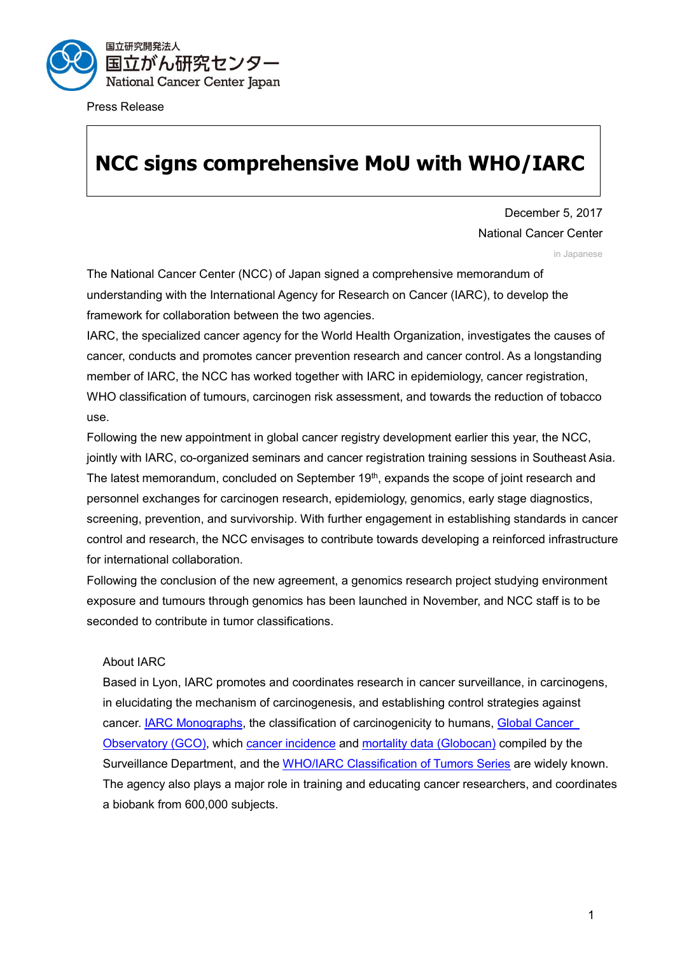

Press Release

# **NCC signs comprehensive MoU with WHO/IARC**

December 5, 2017 National Cancer Center

in Japanese

The National Cancer Center (NCC) of Japan signed a comprehensive memorandum of understanding with the International Agency for Research on Cancer (IARC), to develop the framework for collaboration between the two agencies.

IARC, the specialized cancer agency for the World Health Organization, investigates the causes of cancer, conducts and promotes cancer prevention research and cancer control. As a longstanding member of IARC, the NCC has worked together with IARC in epidemiology, cancer registration, WHO classification of tumours, carcinogen risk assessment, and towards the reduction of tobacco use.

Following the new appointment in global cancer registry development earlier this year, the NCC, jointly with IARC, co-organized seminars and cancer registration training sessions in Southeast Asia. The latest memorandum, concluded on September 19<sup>th</sup>, expands the scope of joint research and personnel exchanges for carcinogen research, epidemiology, genomics, early stage diagnostics, screening, prevention, and survivorship. With further engagement in establishing standards in cancer control and research, the NCC envisages to contribute towards developing a reinforced infrastructure for international collaboration.

Following the conclusion of the new agreement, a genomics research project studying environment exposure and tumours through genomics has been launched in November, and NCC staff is to be seconded to contribute in tumor classifications.

### About IARC

Based in Lyon, IARC promotes and coordinates research in cancer surveillance, in carcinogens, in elucidating the mechanism of carcinogenesis, and establishing control strategies against cancer. [IARC Monographs,](http://monographs.iarc.fr/ENG/Monographs/PDFs/index.php) the classification of carcinogenicity to humans, [Global Cancer](http://gco.iarc.fr/)  [Observatory \(GCO\),](http://gco.iarc.fr/) which [cancer incidence](http://ci5.iarc.fr/Default.aspx) and [mortality data \(Globocan\)](http://globocan.iarc.fr/Default.aspx) compiled by the Surveillance Department, and the WHO/IARC [Classification of Tumors Series](http://whobluebooks.iarc.fr/publications/index.php) are widely known. The agency also plays a major role in training and educating cancer researchers, and coordinates a biobank from 600,000 subjects.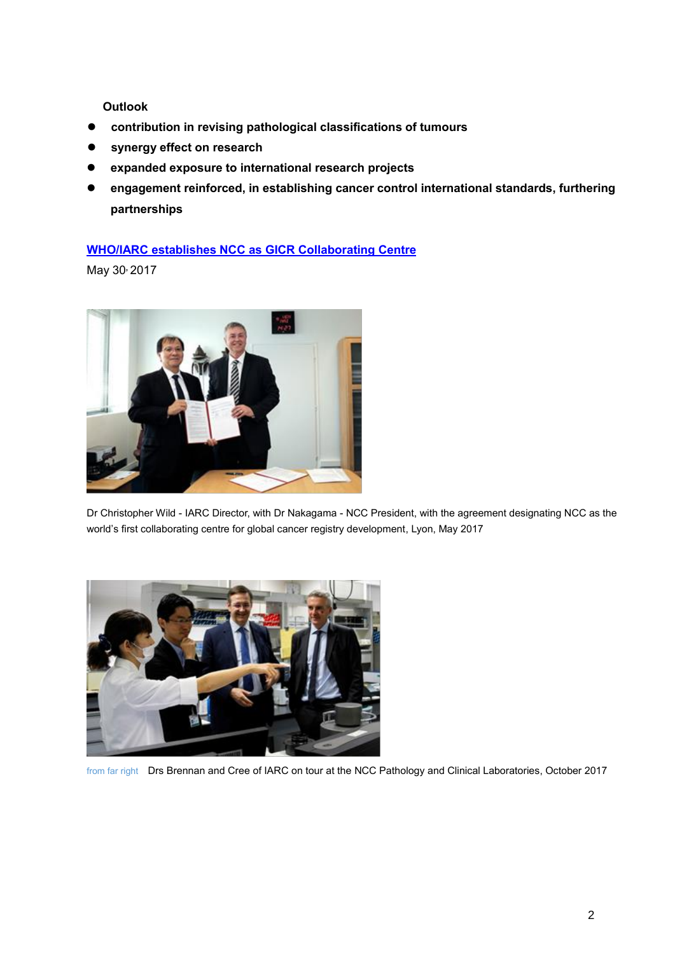**Outlook**

- **contribution in revising pathological classifications of tumours**
- **synergy effect on research**
- **expanded exposure to international research projects**
- **engagement reinforced, in establishing cancer control international standards, furthering partnerships**

## **[WHO/IARC establishes NCC as GICR Collaborating Centre](https://www.ncc.go.jp/en/information/press_release/20170530/index.html)**

May 30**,** 2017



Dr Christopher Wild - IARC Director, with Dr Nakagama - NCC President, with the agreement designating NCC as the world's first collaborating centre for global cancer registry development, Lyon, May 2017



from far right Drs Brennan and Cree of IARC on tour at the NCC Pathology and Clinical Laboratories, October 2017